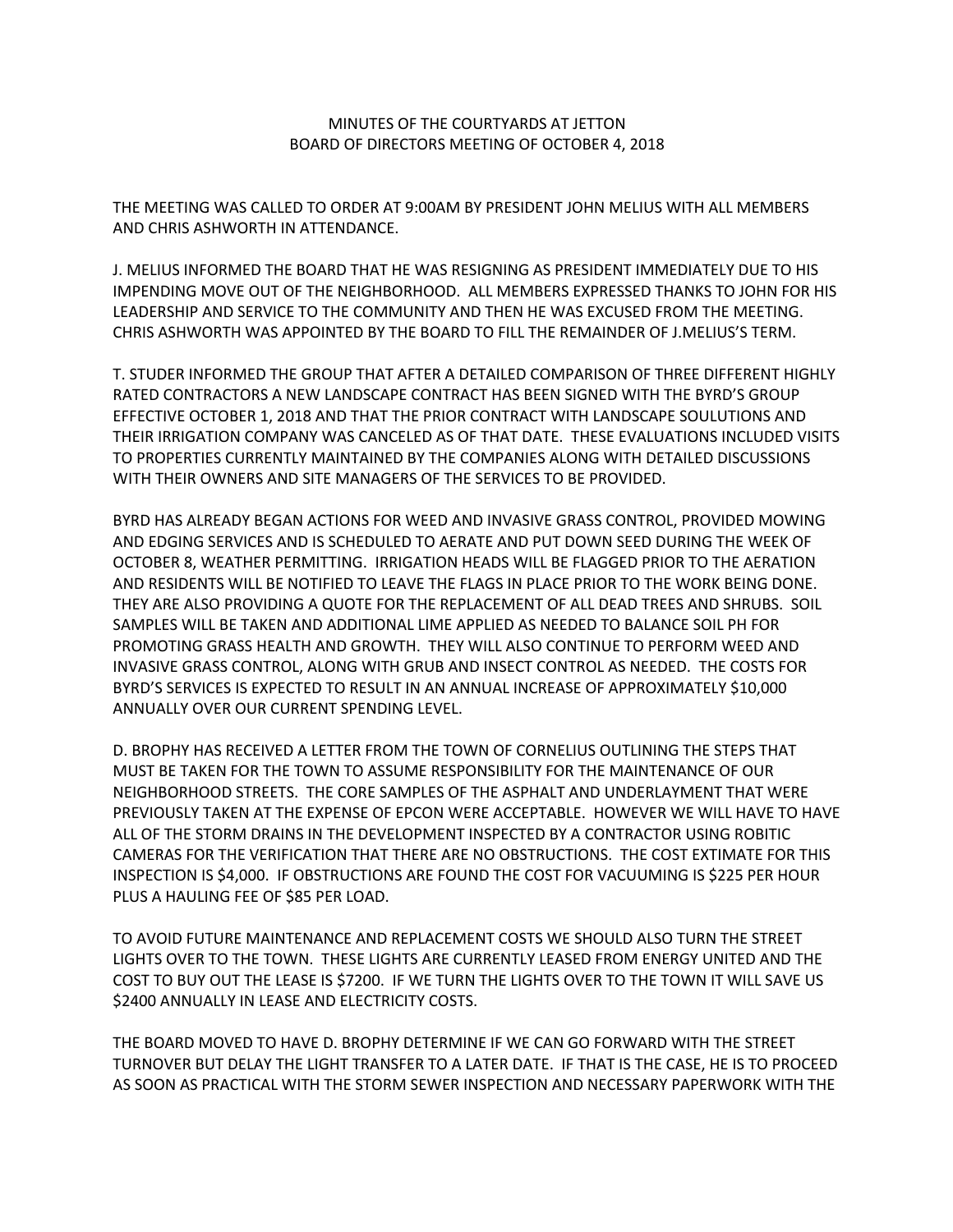## MINUTES OF THE COURTYARDS AT JETTON BOARD OF DIRECTORS MEETING OF OCTOBER 4, 2018

THE MEETING WAS CALLED TO ORDER AT 9:00AM BY PRESIDENT JOHN MELIUS WITH ALL MEMBERS AND CHRIS ASHWORTH IN ATTENDANCE.

J. MELIUS INFORMED THE BOARD THAT HE WAS RESIGNING AS PRESIDENT IMMEDIATELY DUE TO HIS IMPENDING MOVE OUT OF THE NEIGHBORHOOD. ALL MEMBERS EXPRESSED THANKS TO JOHN FOR HIS LEADERSHIP AND SERVICE TO THE COMMUNITY AND THEN HE WAS EXCUSED FROM THE MEETING. CHRIS ASHWORTH WAS APPOINTED BY THE BOARD TO FILL THE REMAINDER OF J.MELIUS'S TERM.

T. STUDER INFORMED THE GROUP THAT AFTER A DETAILED COMPARISON OF THREE DIFFERENT HIGHLY RATED CONTRACTORS A NEW LANDSCAPE CONTRACT HAS BEEN SIGNED WITH THE BYRD'S GROUP EFFECTIVE OCTOBER 1, 2018 AND THAT THE PRIOR CONTRACT WITH LANDSCAPE SOULUTIONS AND THEIR IRRIGATION COMPANY WAS CANCELED AS OF THAT DATE. THESE EVALUATIONS INCLUDED VISITS TO PROPERTIES CURRENTLY MAINTAINED BY THE COMPANIES ALONG WITH DETAILED DISCUSSIONS WITH THEIR OWNERS AND SITE MANAGERS OF THE SERVICES TO BE PROVIDED.

BYRD HAS ALREADY BEGAN ACTIONS FOR WEED AND INVASIVE GRASS CONTROL, PROVIDED MOWING AND EDGING SERVICES AND IS SCHEDULED TO AERATE AND PUT DOWN SEED DURING THE WEEK OF OCTOBER 8, WEATHER PERMITTING. IRRIGATION HEADS WILL BE FLAGGED PRIOR TO THE AERATION AND RESIDENTS WILL BE NOTIFIED TO LEAVE THE FLAGS IN PLACE PRIOR TO THE WORK BEING DONE. THEY ARE ALSO PROVIDING A QUOTE FOR THE REPLACEMENT OF ALL DEAD TREES AND SHRUBS. SOIL SAMPLES WILL BE TAKEN AND ADDITIONAL LIME APPLIED AS NEEDED TO BALANCE SOIL PH FOR PROMOTING GRASS HEALTH AND GROWTH. THEY WILL ALSO CONTINUE TO PERFORM WEED AND INVASIVE GRASS CONTROL, ALONG WITH GRUB AND INSECT CONTROL AS NEEDED. THE COSTS FOR BYRD'S SERVICES IS EXPECTED TO RESULT IN AN ANNUAL INCREASE OF APPROXIMATELY \$10,000 ANNUALLY OVER OUR CURRENT SPENDING LEVEL.

D. BROPHY HAS RECEIVED A LETTER FROM THE TOWN OF CORNELIUS OUTLINING THE STEPS THAT MUST BE TAKEN FOR THE TOWN TO ASSUME RESPONSIBILITY FOR THE MAINTENANCE OF OUR NEIGHBORHOOD STREETS. THE CORE SAMPLES OF THE ASPHALT AND UNDERLAYMENT THAT WERE PREVIOUSLY TAKEN AT THE EXPENSE OF EPCON WERE ACCEPTABLE. HOWEVER WE WILL HAVE TO HAVE ALL OF THE STORM DRAINS IN THE DEVELOPMENT INSPECTED BY A CONTRACTOR USING ROBITIC CAMERAS FOR THE VERIFICATION THAT THERE ARE NO OBSTRUCTIONS. THE COST EXTIMATE FOR THIS INSPECTION IS \$4,000. IF OBSTRUCTIONS ARE FOUND THE COST FOR VACUUMING IS \$225 PER HOUR PLUS A HAULING FEE OF \$85 PER LOAD.

TO AVOID FUTURE MAINTENANCE AND REPLACEMENT COSTS WE SHOULD ALSO TURN THE STREET LIGHTS OVER TO THE TOWN. THESE LIGHTS ARE CURRENTLY LEASED FROM ENERGY UNITED AND THE COST TO BUY OUT THE LEASE IS \$7200. IF WE TURN THE LIGHTS OVER TO THE TOWN IT WILL SAVE US \$2400 ANNUALLY IN LEASE AND ELECTRICITY COSTS.

THE BOARD MOVED TO HAVE D. BROPHY DETERMINE IF WE CAN GO FORWARD WITH THE STREET TURNOVER BUT DELAY THE LIGHT TRANSFER TO A LATER DATE. IF THAT IS THE CASE, HE IS TO PROCEED AS SOON AS PRACTICAL WITH THE STORM SEWER INSPECTION AND NECESSARY PAPERWORK WITH THE